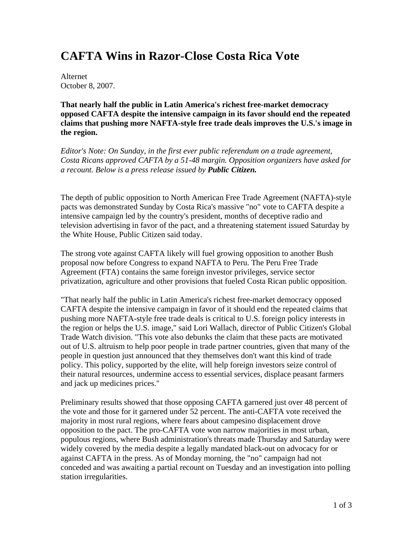## **CAFTA Wins in Razor-Close Costa Rica Vote**

Alternet October 8, 2007.

**That nearly half the public in Latin America's richest free-market democracy opposed CAFTA despite the intensive campaign in its favor should end the repeated claims that pushing more NAFTA-style free trade deals improves the U.S.'s image in the region.** 

*Editor's Note: On Sunday, in the first ever public referendum on a trade agreement, Costa Ricans approved CAFTA by a 51-48 margin. Opposition organizers have asked for a recount. Below is a press release issued by Public Citizen.* 

The depth of public opposition to North American Free Trade Agreement (NAFTA)-style pacts was demonstrated Sunday by Costa Rica's massive "no" vote to CAFTA despite a intensive campaign led by the country's president, months of deceptive radio and television advertising in favor of the pact, and a threatening statement issued Saturday by the White House, Public Citizen said today.

The strong vote against CAFTA likely will fuel growing opposition to another Bush proposal now before Congress to expand NAFTA to Peru. The Peru Free Trade Agreement (FTA) contains the same foreign investor privileges, service sector privatization, agriculture and other provisions that fueled Costa Rican public opposition.

"That nearly half the public in Latin America's richest free-market democracy opposed CAFTA despite the intensive campaign in favor of it should end the repeated claims that pushing more NAFTA-style free trade deals is critical to U.S. foreign policy interests in the region or helps the U.S. image," said Lori Wallach, director of Public Citizen's Global Trade Watch division. "This vote also debunks the claim that these pacts are motivated out of U.S. altruism to help poor people in trade partner countries, given that many of the people in question just announced that they themselves don't want this kind of trade policy. This policy, supported by the elite, will help foreign investors seize control of their natural resources, undermine access to essential services, displace peasant farmers and jack up medicines prices."

Preliminary results showed that those opposing CAFTA garnered just over 48 percent of the vote and those for it garnered under 52 percent. The anti-CAFTA vote received the majority in most rural regions, where fears about campesino displacement drove opposition to the pact. The pro-CAFTA vote won narrow majorities in most urban, populous regions, where Bush administration's threats made Thursday and Saturday were widely covered by the media despite a legally mandated black-out on advocacy for or against CAFTA in the press. As of Monday morning, the "no" campaign had not conceded and was awaiting a partial recount on Tuesday and an investigation into polling station irregularities.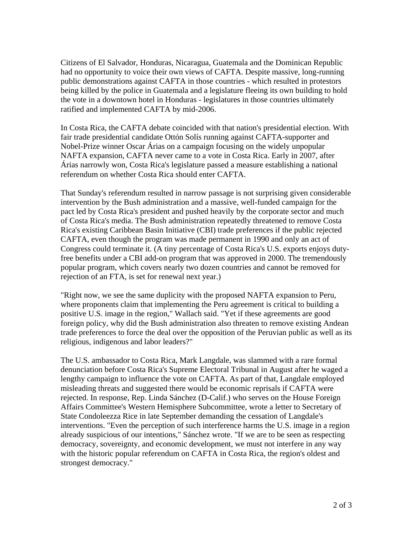Citizens of El Salvador, Honduras, Nicaragua, Guatemala and the Dominican Republic had no opportunity to voice their own views of CAFTA. Despite massive, long-running public demonstrations against CAFTA in those countries - which resulted in protestors being killed by the police in Guatemala and a legislature fleeing its own building to hold the vote in a downtown hotel in Honduras - legislatures in those countries ultimately ratified and implemented CAFTA by mid-2006.

In Costa Rica, the CAFTA debate coincided with that nation's presidential election. With fair trade presidential candidate Ottón Solís running against CAFTA-supporter and Nobel-Prize winner Oscar Árias on a campaign focusing on the widely unpopular NAFTA expansion, CAFTA never came to a vote in Costa Rica. Early in 2007, after Árias narrowly won, Costa Rica's legislature passed a measure establishing a national referendum on whether Costa Rica should enter CAFTA.

That Sunday's referendum resulted in narrow passage is not surprising given considerable intervention by the Bush administration and a massive, well-funded campaign for the pact led by Costa Rica's president and pushed heavily by the corporate sector and much of Costa Rica's media. The Bush administration repeatedly threatened to remove Costa Rica's existing Caribbean Basin Initiative (CBI) trade preferences if the public rejected CAFTA, even though the program was made permanent in 1990 and only an act of Congress could terminate it. (A tiny percentage of Costa Rica's U.S. exports enjoys dutyfree benefits under a CBI add-on program that was approved in 2000. The tremendously popular program, which covers nearly two dozen countries and cannot be removed for rejection of an FTA, is set for renewal next year.)

"Right now, we see the same duplicity with the proposed NAFTA expansion to Peru, where proponents claim that implementing the Peru agreement is critical to building a positive U.S. image in the region," Wallach said. "Yet if these agreements are good foreign policy, why did the Bush administration also threaten to remove existing Andean trade preferences to force the deal over the opposition of the Peruvian public as well as its religious, indigenous and labor leaders?"

The U.S. ambassador to Costa Rica, Mark Langdale, was slammed with a rare formal denunciation before Costa Rica's Supreme Electoral Tribunal in August after he waged a lengthy campaign to influence the vote on CAFTA. As part of that, Langdale employed misleading threats and suggested there would be economic reprisals if CAFTA were rejected. In response, Rep. Linda Sánchez (D-Calif.) who serves on the House Foreign Affairs Committee's Western Hemisphere Subcommittee, wrote a letter to Secretary of State Condoleezza Rice in late September demanding the cessation of Langdale's interventions. "Even the perception of such interference harms the U.S. image in a region already suspicious of our intentions," Sánchez wrote. "If we are to be seen as respecting democracy, sovereignty, and economic development, we must not interfere in any way with the historic popular referendum on CAFTA in Costa Rica, the region's oldest and strongest democracy."